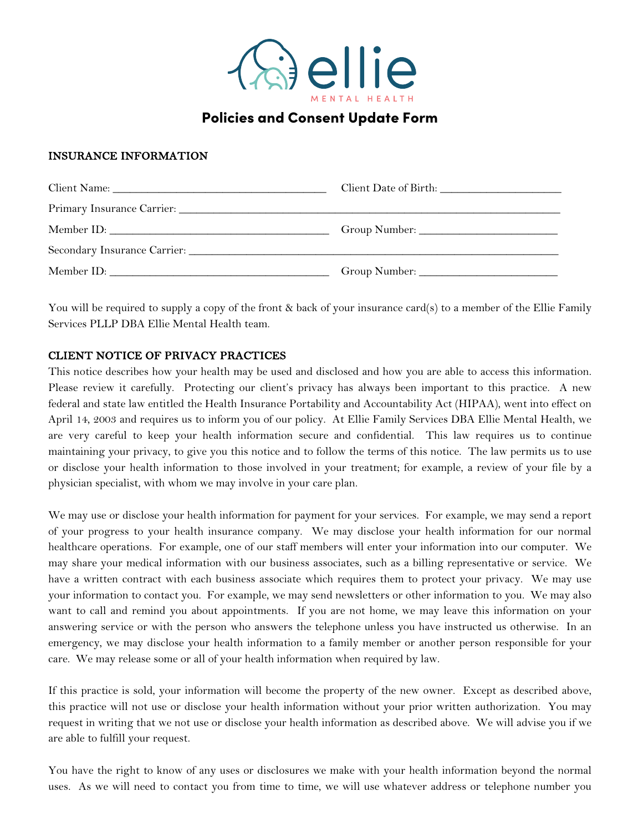

# Policies and Consent Update Form

## INSURANCE INFORMATION

| Secondary Insurance Carrier: University of the Carrier of the Carrier of the Carrier of the Carrier of the Carrier of the Carrier of the Carrier of the Carrier of the Carrier of the Carrier of the Carrier of the Carrier of |  |  |
|--------------------------------------------------------------------------------------------------------------------------------------------------------------------------------------------------------------------------------|--|--|
|                                                                                                                                                                                                                                |  |  |

You will be required to supply a copy of the front & back of your insurance card(s) to a member of the Ellie Family Services PLLP DBA Ellie Mental Health team.

### CLIENT NOTICE OF PRIVACY PRACTICES

This notice describes how your health may be used and disclosed and how you are able to access this information. Please review it carefully. Protecting our client's privacy has always been important to this practice. A new federal and state law entitled the Health Insurance Portability and Accountability Act (HIPAA), went into effect on April 14, 2003 and requires us to inform you of our policy. At Ellie Family Services DBA Ellie Mental Health, we are very careful to keep your health information secure and confidential. This law requires us to continue maintaining your privacy, to give you this notice and to follow the terms of this notice. The law permits us to use or disclose your health information to those involved in your treatment; for example, a review of your file by a physician specialist, with whom we may involve in your care plan.

We may use or disclose your health information for payment for your services. For example, we may send a report of your progress to your health insurance company. We may disclose your health information for our normal healthcare operations. For example, one of our staff members will enter your information into our computer. We may share your medical information with our business associates, such as a billing representative or service. We have a written contract with each business associate which requires them to protect your privacy. We may use your information to contact you. For example, we may send newsletters or other information to you. We may also want to call and remind you about appointments. If you are not home, we may leave this information on your answering service or with the person who answers the telephone unless you have instructed us otherwise. In an emergency, we may disclose your health information to a family member or another person responsible for your care. We may release some or all of your health information when required by law.

If this practice is sold, your information will become the property of the new owner. Except as described above, this practice will not use or disclose your health information without your prior written authorization. You may request in writing that we not use or disclose your health information as described above. We will advise you if we are able to fulfill your request.

You have the right to know of any uses or disclosures we make with your health information beyond the normal uses. As we will need to contact you from time to time, we will use whatever address or telephone number you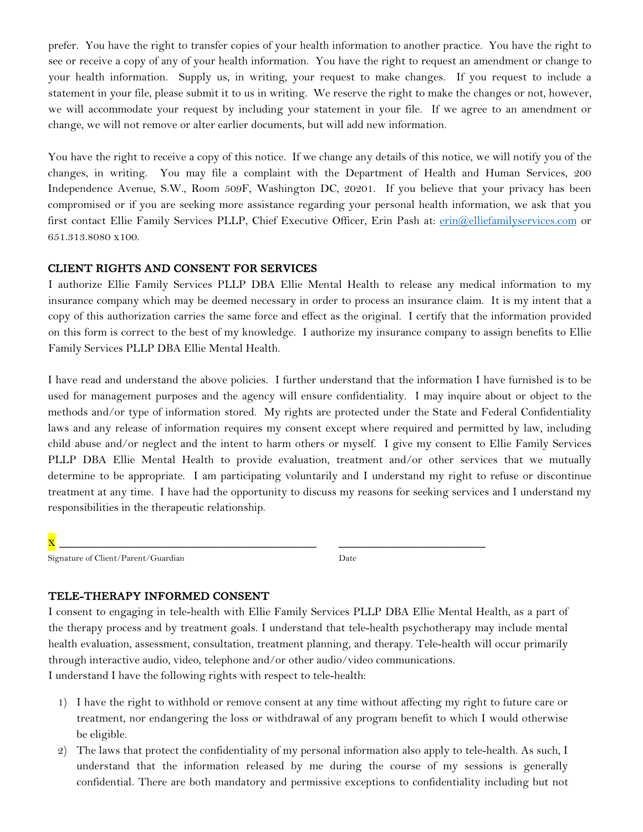prefer. You have the right to transfer copies of your health information to another practice. You have the right to see or receive a copy of any of your health information. You have the right to request an amendment or change to your health information. Supply us, in writing, your request to make changes. If you request to include a statement in your file, please submit it to us in writing. We reserve the right to make the changes or not, however, we will accommodate your request by including your statement in your file. If we agree to an amendment or change, we will not remove or alter earlier documents, but will add new information.

You have the right to receive a copy of this notice. If we change any details of this notice, we will notify you of the changes, in writing. You may file a complaint with the Department of Health and Human Services, 200 Independence Avenue, S.W., Room 509F, Washington DC, 20201. If you believe that your privacy has been compromised or if you are seeking more assistance regarding your personal health information, we ask that you first contact Ellie Family Services PLLP, Chief Executive Officer, Erin Pash at: erin@elliefamilyservices.com or 651.313.8080 x100.

#### CLIENT RIGHTS AND CONSENT FOR SERVICES

I authorize Ellie Family Services PLLP DBA Ellie Mental Health to release any medical information to my insurance company which may be deemed necessary in order to process an insurance claim. It is my intent that a copy of this authorization carries the same force and effect as the original. I certify that the information provided on this form is correct to the best of my knowledge. I authorize my insurance company to assign benefits to Ellie Family Services PLLP DBA Ellie Mental Health.

I have read and understand the above policies. I further understand that the information I have furnished is to be used for management purposes and the agency will ensure confidentiality. I may inquire about or object to the methods and/or type of information stored. My rights are protected under the State and Federal Confidentiality laws and any release of information requires my consent except where required and permitted by law, including child abuse and/or neglect and the intent to harm others or myself. I give my consent to Ellie Family Services PLLP DBA Ellie Mental Health to provide evaluation, treatment and/or other services that we mutually determine to be appropriate. I am participating voluntarily and I understand my right to refuse or discontinue treatment at any time. I have had the opportunity to discuss my reasons for seeking services and I understand my responsibilities in the therapeutic relationship.

x \_\_\_\_\_\_\_\_\_\_\_\_\_\_\_\_\_\_\_\_\_\_\_\_\_\_\_\_\_\_\_\_\_\_\_ \_\_\_\_\_\_\_\_\_\_\_\_\_\_\_\_\_\_\_\_

Signature of Client/Parent/Guardian Date

#### TELE-THERAPY INFORMED CONSENT

I consent to engaging in tele-health with Ellie Family Services PLLP DBA Ellie Mental Health, as a part of the therapy process and by treatment goals. I understand that tele-health psychotherapy may include mental health evaluation, assessment, consultation, treatment planning, and therapy. Tele-health will occur primarily through interactive audio, video, telephone and/or other audio/video communications. I understand I have the following rights with respect to tele-health:

- 1) I have the right to withhold or remove consent at any time without affecting my right to future care or treatment, nor endangering the loss or withdrawal of any program benefit to which I would otherwise be eligible.
- 2) The laws that protect the confidentiality of my personal information also apply to tele-health. As such, I understand that the information released by me during the course of my sessions is generally confidential. There are both mandatory and permissive exceptions to confidentiality including but not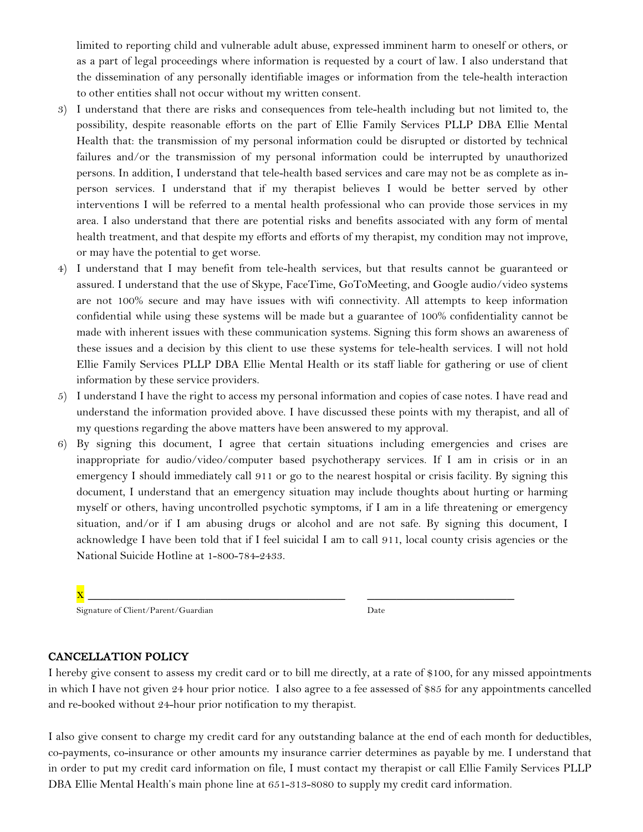limited to reporting child and vulnerable adult abuse, expressed imminent harm to oneself or others, or as a part of legal proceedings where information is requested by a court of law. I also understand that the dissemination of any personally identifiable images or information from the tele-health interaction to other entities shall not occur without my written consent.

- 3) I understand that there are risks and consequences from tele-health including but not limited to, the possibility, despite reasonable efforts on the part of Ellie Family Services PLLP DBA Ellie Mental Health that: the transmission of my personal information could be disrupted or distorted by technical failures and/or the transmission of my personal information could be interrupted by unauthorized persons. In addition, I understand that tele-health based services and care may not be as complete as inperson services. I understand that if my therapist believes I would be better served by other interventions I will be referred to a mental health professional who can provide those services in my area. I also understand that there are potential risks and benefits associated with any form of mental health treatment, and that despite my efforts and efforts of my therapist, my condition may not improve, or may have the potential to get worse.
- 4) I understand that I may benefit from tele-health services, but that results cannot be guaranteed or assured. I understand that the use of Skype, FaceTime, GoToMeeting, and Google audio/video systems are not 100% secure and may have issues with wifi connectivity. All attempts to keep information confidential while using these systems will be made but a guarantee of 100% confidentiality cannot be made with inherent issues with these communication systems. Signing this form shows an awareness of these issues and a decision by this client to use these systems for tele-health services. I will not hold Ellie Family Services PLLP DBA Ellie Mental Health or its staff liable for gathering or use of client information by these service providers.
- 5) I understand I have the right to access my personal information and copies of case notes. I have read and understand the information provided above. I have discussed these points with my therapist, and all of my questions regarding the above matters have been answered to my approval.
- 6) By signing this document, I agree that certain situations including emergencies and crises are inappropriate for audio/video/computer based psychotherapy services. If I am in crisis or in an emergency I should immediately call 911 or go to the nearest hospital or crisis facility. By signing this document, I understand that an emergency situation may include thoughts about hurting or harming myself or others, having uncontrolled psychotic symptoms, if I am in a life threatening or emergency situation, and/or if I am abusing drugs or alcohol and are not safe. By signing this document, I acknowledge I have been told that if I feel suicidal I am to call 911, local county crisis agencies or the National Suicide Hotline at 1-800-784-2433.

| - |  |
|---|--|
|   |  |

Signature of Client/Parent/Guardian Date

### CANCELLATION POLICY

I hereby give consent to assess my credit card or to bill me directly, at a rate of \$100, for any missed appointments in which I have not given 24 hour prior notice. I also agree to a fee assessed of \$85 for any appointments cancelled and re-booked without 24-hour prior notification to my therapist.

I also give consent to charge my credit card for any outstanding balance at the end of each month for deductibles, co-payments, co-insurance or other amounts my insurance carrier determines as payable by me. I understand that in order to put my credit card information on file, I must contact my therapist or call Ellie Family Services PLLP DBA Ellie Mental Health's main phone line at 651-313-8080 to supply my credit card information.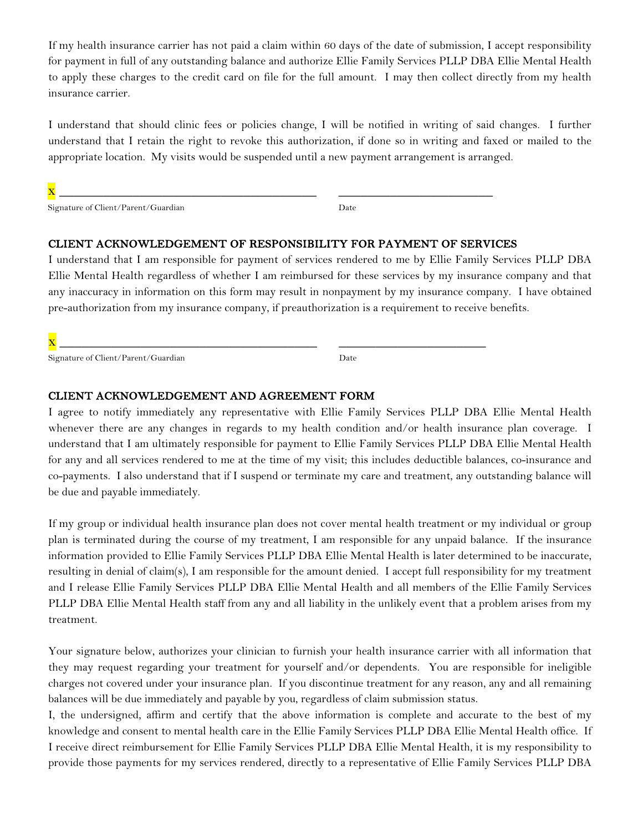If my health insurance carrier has not paid a claim within 60 days of the date of submission, I accept responsibility for payment in full of any outstanding balance and authorize Ellie Family Services PLLP DBA Ellie Mental Health to apply these charges to the credit card on file for the full amount. I may then collect directly from my health insurance carrier.

I understand that should clinic fees or policies change, I will be notified in writing of said changes. I further understand that I retain the right to revoke this authorization, if done so in writing and faxed or mailed to the appropriate location. My visits would be suspended until a new payment arrangement is arranged.

Signature of Client/Parent/Guardian Date

# CLIENT ACKNOWLEDGEMENT OF RESPONSIBILITY FOR PAYMENT OF SERVICES

x \_\_\_\_\_\_\_\_\_\_\_\_\_\_\_\_\_\_\_\_\_\_\_\_\_\_\_\_\_\_\_\_\_\_\_ \_\_\_\_\_\_\_\_\_\_\_\_\_\_\_\_\_\_\_\_\_

I understand that I am responsible for payment of services rendered to me by Ellie Family Services PLLP DBA Ellie Mental Health regardless of whether I am reimbursed for these services by my insurance company and that any inaccuracy in information on this form may result in nonpayment by my insurance company. I have obtained pre-authorization from my insurance company, if preauthorization is a requirement to receive benefits.

x \_\_\_\_\_\_\_\_\_\_\_\_\_\_\_\_\_\_\_\_\_\_\_\_\_\_\_\_\_\_\_\_\_\_\_ \_\_\_\_\_\_\_\_\_\_\_\_\_\_\_\_\_\_\_\_

Signature of Client/Parent/Guardian Date

#### CLIENT ACKNOWLEDGEMENT AND AGREEMENT FORM

I agree to notify immediately any representative with Ellie Family Services PLLP DBA Ellie Mental Health whenever there are any changes in regards to my health condition and/or health insurance plan coverage. I understand that I am ultimately responsible for payment to Ellie Family Services PLLP DBA Ellie Mental Health for any and all services rendered to me at the time of my visit; this includes deductible balances, co-insurance and co-payments. I also understand that if I suspend or terminate my care and treatment, any outstanding balance will be due and payable immediately.

If my group or individual health insurance plan does not cover mental health treatment or my individual or group plan is terminated during the course of my treatment, I am responsible for any unpaid balance. If the insurance information provided to Ellie Family Services PLLP DBA Ellie Mental Health is later determined to be inaccurate, resulting in denial of claim(s), I am responsible for the amount denied. I accept full responsibility for my treatment and I release Ellie Family Services PLLP DBA Ellie Mental Health and all members of the Ellie Family Services PLLP DBA Ellie Mental Health staff from any and all liability in the unlikely event that a problem arises from my treatment.

Your signature below, authorizes your clinician to furnish your health insurance carrier with all information that they may request regarding your treatment for yourself and/or dependents. You are responsible for ineligible charges not covered under your insurance plan. If you discontinue treatment for any reason, any and all remaining balances will be due immediately and payable by you, regardless of claim submission status.

I, the undersigned, affirm and certify that the above information is complete and accurate to the best of my knowledge and consent to mental health care in the Ellie Family Services PLLP DBA Ellie Mental Health office. If I receive direct reimbursement for Ellie Family Services PLLP DBA Ellie Mental Health, it is my responsibility to provide those payments for my services rendered, directly to a representative of Ellie Family Services PLLP DBA